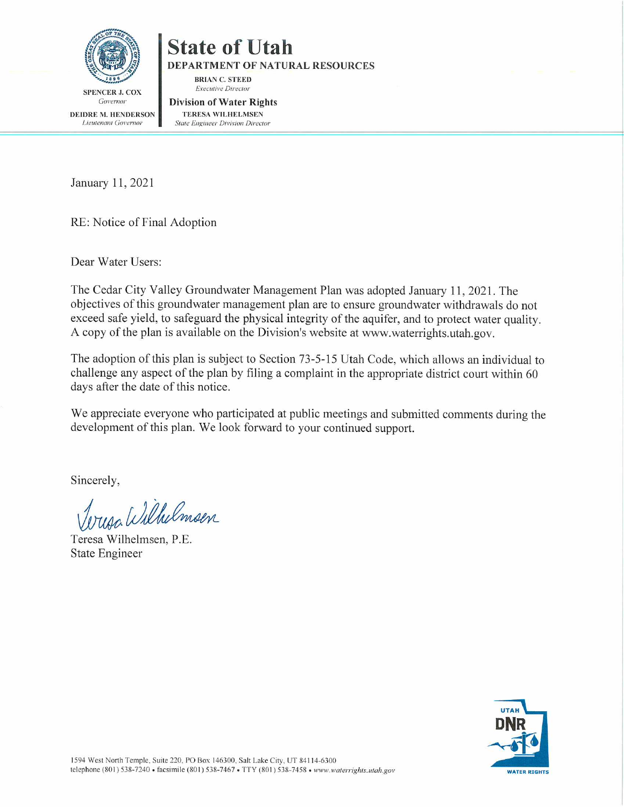

# **State of Utah**

**DEPARTMENT OF NATURAL RESOURCES** 

**BRIAN C. STEED Executive Director** 

Governor DEIDRE M. HENDERSON Lieutenant Governor

**Division of Water Rights TERESA WILHELMSEN State Engineer Division Director** 

January 11, 2021

RE: Notice of Final Adoption

Dear Water Users:

The Cedar City Valley Groundwater Management Plan was adopted January 11, 2021. The objectives of this groundwater management plan are to ensure groundwater withdrawals do not exceed safe yield, to safeguard the physical integrity of the aquifer, and to protect water quality. A copy of the plan is available on the Division's website at www.waterrights.utah.gov.

The adoption of this plan is subject to Section 73-5-15 Utah Code, which allows an individual to challenge any aspect of the plan by filing a complaint in the appropriate district court within 60 days after the date of this notice.

We appreciate everyone who participated at public meetings and submitted comments during the development of this plan. We look forward to your continued support.

Sincerely,

uan Wilhelmsen

Teresa Wilhelmsen, P.E. **State Engineer** 

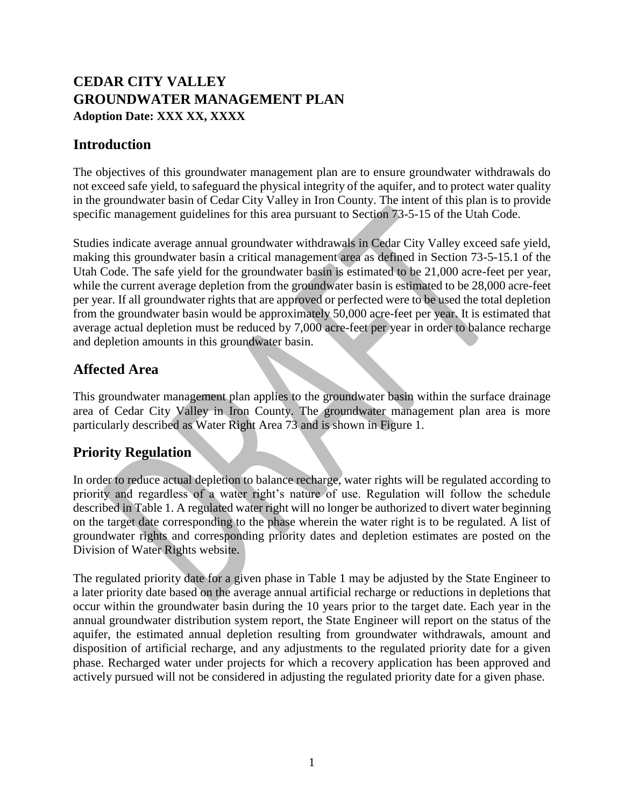# **CEDAR CITY VALLEY GROUNDWATER MANAGEMENT PLAN Adoption Date: XXX XX, XXXX**

## **Introduction**

The objectives of this groundwater management plan are to ensure groundwater withdrawals do not exceed safe yield, to safeguard the physical integrity of the aquifer, and to protect water quality in the groundwater basin of Cedar City Valley in Iron County. The intent of this plan is to provide specific management guidelines for this area pursuant to Section 73-5-15 of the Utah Code.

Studies indicate average annual groundwater withdrawals in Cedar City Valley exceed safe yield, making this groundwater basin a critical management area as defined in Section 73-5-15.1 of the Utah Code. The safe yield for the groundwater basin is estimated to be 21,000 acre-feet per year, while the current average depletion from the groundwater basin is estimated to be 28,000 acre-feet per year. If all groundwater rights that are approved or perfected were to be used the total depletion from the groundwater basin would be approximately 50,000 acre-feet per year. It is estimated that average actual depletion must be reduced by 7,000 acre-feet per year in order to balance recharge and depletion amounts in this groundwater basin.

## **Affected Area**

This groundwater management plan applies to the groundwater basin within the surface drainage area of Cedar City Valley in Iron County. The groundwater management plan area is more particularly described as Water Right Area 73 and is shown in Figure 1.

# **Priority Regulation**

In order to reduce actual depletion to balance recharge, water rights will be regulated according to priority and regardless of a water right's nature of use. Regulation will follow the schedule described in Table 1. A regulated water right will no longer be authorized to divert water beginning on the target date corresponding to the phase wherein the water right is to be regulated. A list of groundwater rights and corresponding priority dates and depletion estimates are posted on the Division of Water Rights website.

The regulated priority date for a given phase in Table 1 may be adjusted by the State Engineer to a later priority date based on the average annual artificial recharge or reductions in depletions that occur within the groundwater basin during the 10 years prior to the target date. Each year in the annual groundwater distribution system report, the State Engineer will report on the status of the aquifer, the estimated annual depletion resulting from groundwater withdrawals, amount and disposition of artificial recharge, and any adjustments to the regulated priority date for a given phase. Recharged water under projects for which a recovery application has been approved and actively pursued will not be considered in adjusting the regulated priority date for a given phase.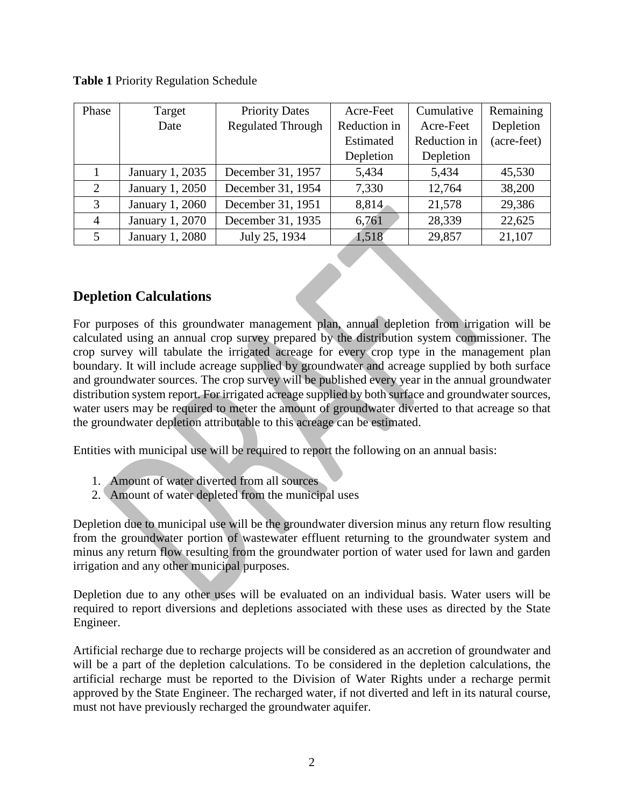| Phase          | Target          | <b>Priority Dates</b>    | Acre-Feet    | Cumulative   | Remaining   |
|----------------|-----------------|--------------------------|--------------|--------------|-------------|
|                | Date            | <b>Regulated Through</b> | Reduction in | Acre-Feet    | Depletion   |
|                |                 |                          | Estimated    | Reduction in | (acre-feet) |
|                |                 |                          | Depletion    | Depletion    |             |
|                | January 1, 2035 | December 31, 1957        | 5,434        | 5,434        | 45,530      |
| $\overline{2}$ | January 1, 2050 | December 31, 1954        | 7,330        | 12,764       | 38,200      |
| 3              | January 1, 2060 | December 31, 1951        | 8,814        | 21,578       | 29,386      |
| 4              | January 1, 2070 | December 31, 1935        | 6,761        | 28,339       | 22,625      |
| 5              | January 1, 2080 | July 25, 1934            | 1,518        | 29,857       | 21,107      |

#### **Table 1** Priority Regulation Schedule

#### **Depletion Calculations**

For purposes of this groundwater management plan, annual depletion from irrigation will be calculated using an annual crop survey prepared by the distribution system commissioner. The crop survey will tabulate the irrigated acreage for every crop type in the management plan boundary. It will include acreage supplied by groundwater and acreage supplied by both surface and groundwater sources. The crop survey will be published every year in the annual groundwater distribution system report. For irrigated acreage supplied by both surface and groundwater sources, water users may be required to meter the amount of groundwater diverted to that acreage so that the groundwater depletion attributable to this acreage can be estimated.

Entities with municipal use will be required to report the following on an annual basis:

- 1. Amount of water diverted from all sources
- 2. Amount of water depleted from the municipal uses

Depletion due to municipal use will be the groundwater diversion minus any return flow resulting from the groundwater portion of wastewater effluent returning to the groundwater system and minus any return flow resulting from the groundwater portion of water used for lawn and garden irrigation and any other municipal purposes.

Depletion due to any other uses will be evaluated on an individual basis. Water users will be required to report diversions and depletions associated with these uses as directed by the State Engineer.

Artificial recharge due to recharge projects will be considered as an accretion of groundwater and will be a part of the depletion calculations. To be considered in the depletion calculations, the artificial recharge must be reported to the Division of Water Rights under a recharge permit approved by the State Engineer. The recharged water, if not diverted and left in its natural course, must not have previously recharged the groundwater aquifer.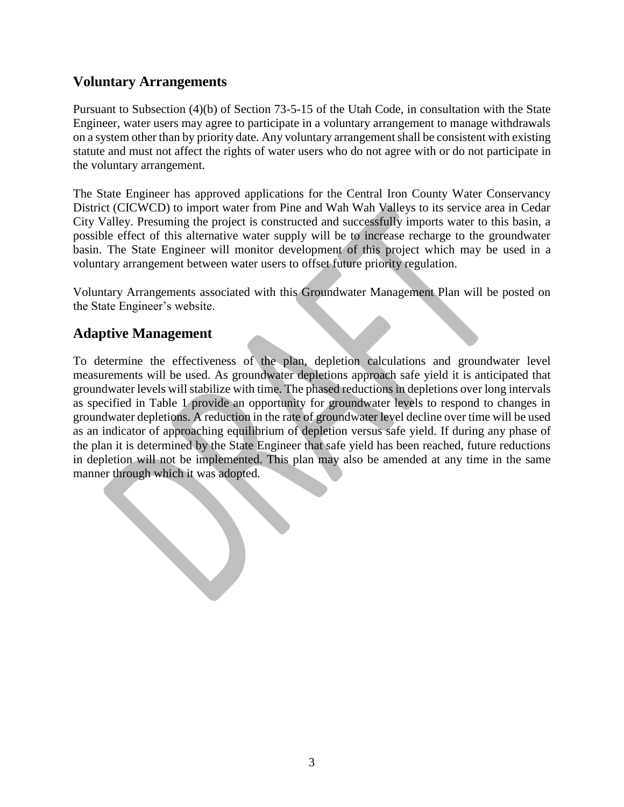#### **Voluntary Arrangements**

Pursuant to Subsection (4)(b) of Section 73-5-15 of the Utah Code, in consultation with the State Engineer, water users may agree to participate in a voluntary arrangement to manage withdrawals on a system other than by priority date. Any voluntary arrangement shall be consistent with existing statute and must not affect the rights of water users who do not agree with or do not participate in the voluntary arrangement.

The State Engineer has approved applications for the Central Iron County Water Conservancy District (CICWCD) to import water from Pine and Wah Wah Valleys to its service area in Cedar City Valley. Presuming the project is constructed and successfully imports water to this basin, a possible effect of this alternative water supply will be to increase recharge to the groundwater basin. The State Engineer will monitor development of this project which may be used in a voluntary arrangement between water users to offset future priority regulation.

Voluntary Arrangements associated with this Groundwater Management Plan will be posted on the State Engineer's website.

#### **Adaptive Management**

To determine the effectiveness of the plan, depletion calculations and groundwater level measurements will be used. As groundwater depletions approach safe yield it is anticipated that groundwater levels will stabilize with time. The phased reductions in depletions over long intervals as specified in Table 1 provide an opportunity for groundwater levels to respond to changes in groundwater depletions. A reduction in the rate of groundwater level decline over time will be used as an indicator of approaching equilibrium of depletion versus safe yield. If during any phase of the plan it is determined by the State Engineer that safe yield has been reached, future reductions in depletion will not be implemented. This plan may also be amended at any time in the same manner through which it was adopted.